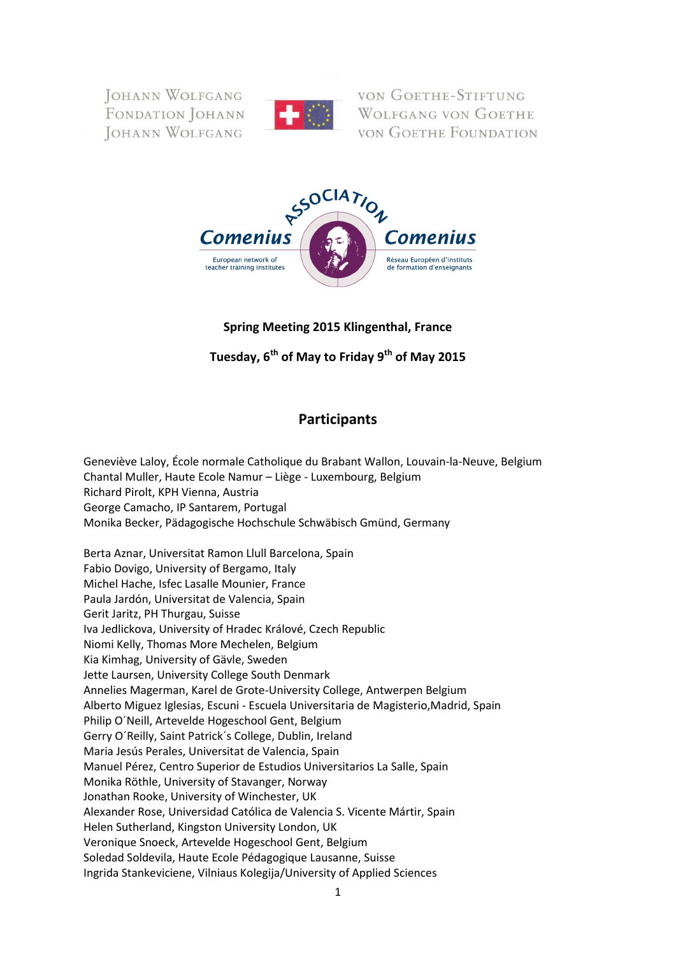**JOHANN WOLFGANG** FONDATION JOHANN JOHANN WOLFGANG



VON GOETHE-STIFTUNG **WOLFGANG VON GOETHE VON GOETHE FOUNDATION** 



## **Spring Meeting 2015 Klingenthal, France**

**Tuesday, 6th of May to Friday 9th of May 2015**

# **Participants**

Geneviève Laloy, École normale Catholique du Brabant Wallon, Louvain-la-Neuve, Belgium Chantal Muller, Haute Ecole Namur – Liège - Luxembourg, Belgium Richard Pirolt, KPH Vienna, Austria George Camacho, IP Santarem, Portugal Monika Becker, Pädagogische Hochschule Schwäbisch Gmünd, Germany

Berta Aznar, Universitat Ramon Llull Barcelona, Spain Fabio Dovigo, University of Bergamo, Italy Michel Hache, Isfec Lasalle Mounier, France Paula Jardón, Universitat de Valencia, Spain Gerit Jaritz, PH Thurgau, Suisse Iva Jedlickova, University of Hradec Králové, Czech Republic Niomi Kelly, Thomas More Mechelen, Belgium Kia Kimhag, University of Gävle, Sweden Jette Laursen, University College South Denmark Annelies Magerman, Karel de Grote-University College, Antwerpen Belgium Alberto Miguez Iglesias, Escuni - Escuela Universitaria de Magisterio,Madrid, Spain Philip O´Neill, Artevelde Hogeschool Gent, Belgium Gerry O´Reilly, Saint Patrick´s College, Dublin, Ireland Maria Jesús Perales, Universitat de Valencia, Spain Manuel Pérez, Centro Superior de Estudios Universitarios La Salle, Spain Monika Röthle, University of Stavanger, Norway Jonathan Rooke, University of Winchester, UK Alexander Rose, Universidad Católica de Valencia S. Vicente Mártir, Spain Helen Sutherland, Kingston University London, UK Veronique Snoeck, Artevelde Hogeschool Gent, Belgium Soledad Soldevila, Haute Ecole Pédagogique Lausanne, Suisse Ingrida Stankeviciene, Vilniaus Kolegija/University of Applied Sciences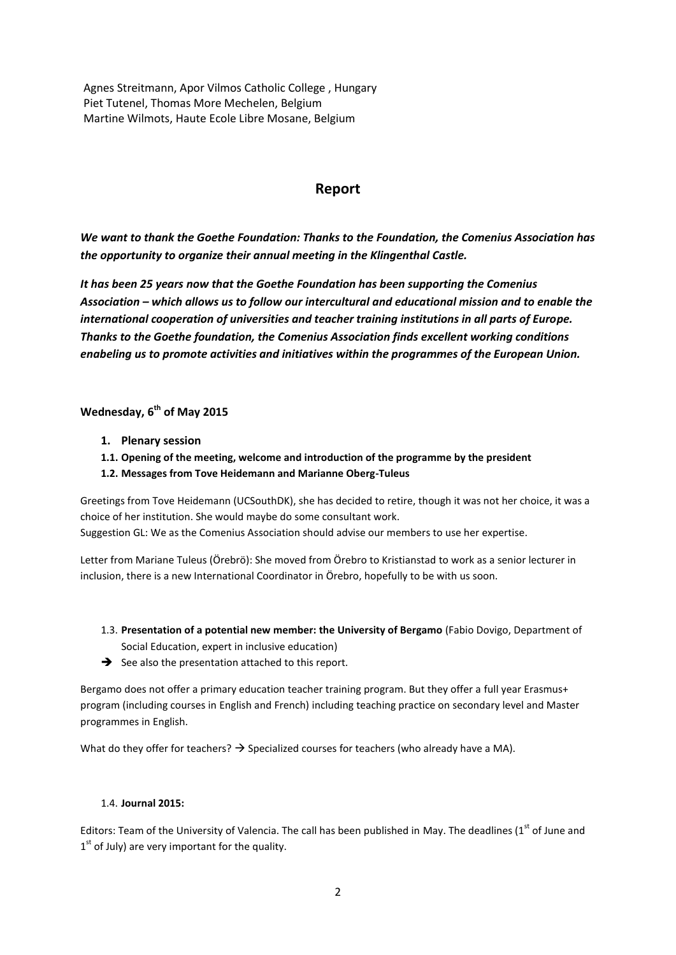Agnes Streitmann, Apor Vilmos Catholic College , Hungary Piet Tutenel, Thomas More Mechelen, Belgium Martine Wilmots, Haute Ecole Libre Mosane, Belgium

## **Report**

*We want to thank the Goethe Foundation: Thanks to the Foundation, the Comenius Association has the opportunity to organize their annual meeting in the Klingenthal Castle.* 

*It has been 25 years now that the Goethe Foundation has been supporting the Comenius Association – which allows us to follow our intercultural and educational mission and to enable the international cooperation of universities and teacher training institutions in all parts of Europe. Thanks to the Goethe foundation, the Comenius Association finds excellent working conditions enabeling us to promote activities and initiatives within the programmes of the European Union.*

## **Wednesday, 6th of May 2015**

- **1. Plenary session**
- **1.1. Opening of the meeting, welcome and introduction of the programme by the president**
- **1.2. Messages from Tove Heidemann and Marianne Oberg-Tuleus**

Greetings from Tove Heidemann (UCSouthDK), she has decided to retire, though it was not her choice, it was a choice of her institution. She would maybe do some consultant work. Suggestion GL: We as the Comenius Association should advise our members to use her expertise.

Letter from Mariane Tuleus (Örebrö): She moved from Örebro to Kristianstad to work as a senior lecturer in inclusion, there is a new International Coordinator in Örebro, hopefully to be with us soon.

- 1.3. **Presentation of a potential new member: the University of Bergamo** (Fabio Dovigo, Department of Social Education, expert in inclusive education)
- $\rightarrow$  See also the presentation attached to this report.

Bergamo does not offer a primary education teacher training program. But they offer a full year Erasmus+ program (including courses in English and French) including teaching practice on secondary level and Master programmes in English.

What do they offer for teachers?  $\rightarrow$  Specialized courses for teachers (who already have a MA).

### 1.4. **Journal 2015:**

Editors: Team of the University of Valencia. The call has been published in May. The deadlines (1st of June and  $1<sup>st</sup>$  of July) are very important for the quality.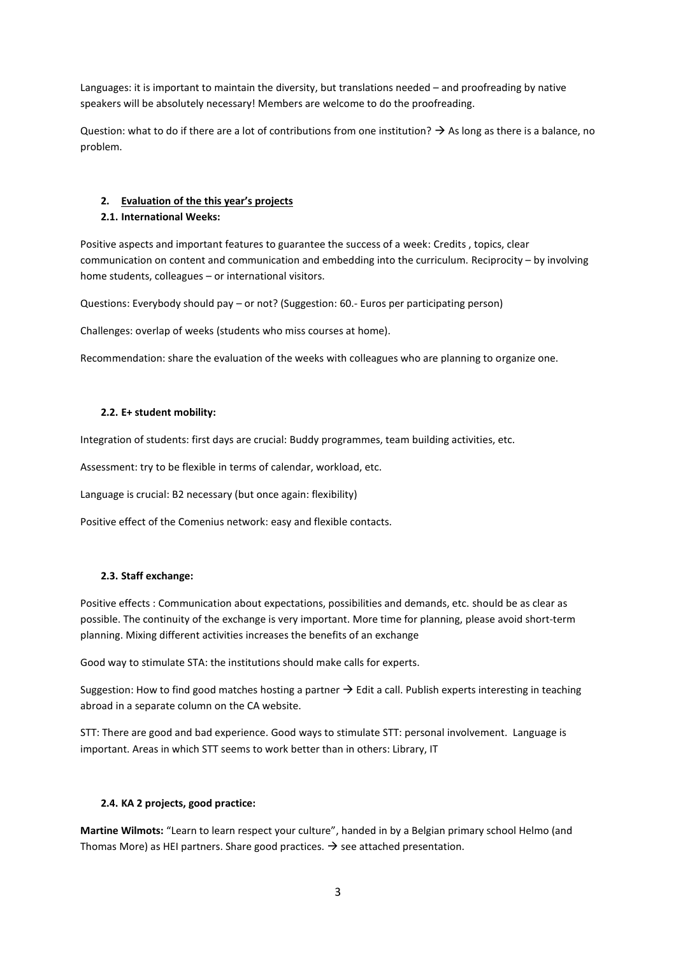Languages: it is important to maintain the diversity, but translations needed – and proofreading by native speakers will be absolutely necessary! Members are welcome to do the proofreading.

Question: what to do if there are a lot of contributions from one institution?  $\rightarrow$  As long as there is a balance, no problem.

## **2. Evaluation of the this year's projects**

## **2.1. International Weeks:**

Positive aspects and important features to guarantee the success of a week: Credits , topics, clear communication on content and communication and embedding into the curriculum. Reciprocity – by involving home students, colleagues – or international visitors.

Questions: Everybody should pay – or not? (Suggestion: 60.- Euros per participating person)

Challenges: overlap of weeks (students who miss courses at home).

Recommendation: share the evaluation of the weeks with colleagues who are planning to organize one.

## **2.2. E+ student mobility:**

Integration of students: first days are crucial: Buddy programmes, team building activities, etc.

Assessment: try to be flexible in terms of calendar, workload, etc.

Language is crucial: B2 necessary (but once again: flexibility)

Positive effect of the Comenius network: easy and flexible contacts.

### **2.3. Staff exchange:**

Positive effects : Communication about expectations, possibilities and demands, etc. should be as clear as possible. The continuity of the exchange is very important. More time for planning, please avoid short-term planning. Mixing different activities increases the benefits of an exchange

Good way to stimulate STA: the institutions should make calls for experts.

Suggestion: How to find good matches hosting a partner  $\rightarrow$  Edit a call. Publish experts interesting in teaching abroad in a separate column on the CA website.

STT: There are good and bad experience. Good ways to stimulate STT: personal involvement. Language is important. Areas in which STT seems to work better than in others: Library, IT

## **2.4. KA 2 projects, good practice:**

**Martine Wilmots:** "Learn to learn respect your culture", handed in by a Belgian primary school Helmo (and Thomas More) as HEI partners. Share good practices.  $\rightarrow$  see attached presentation.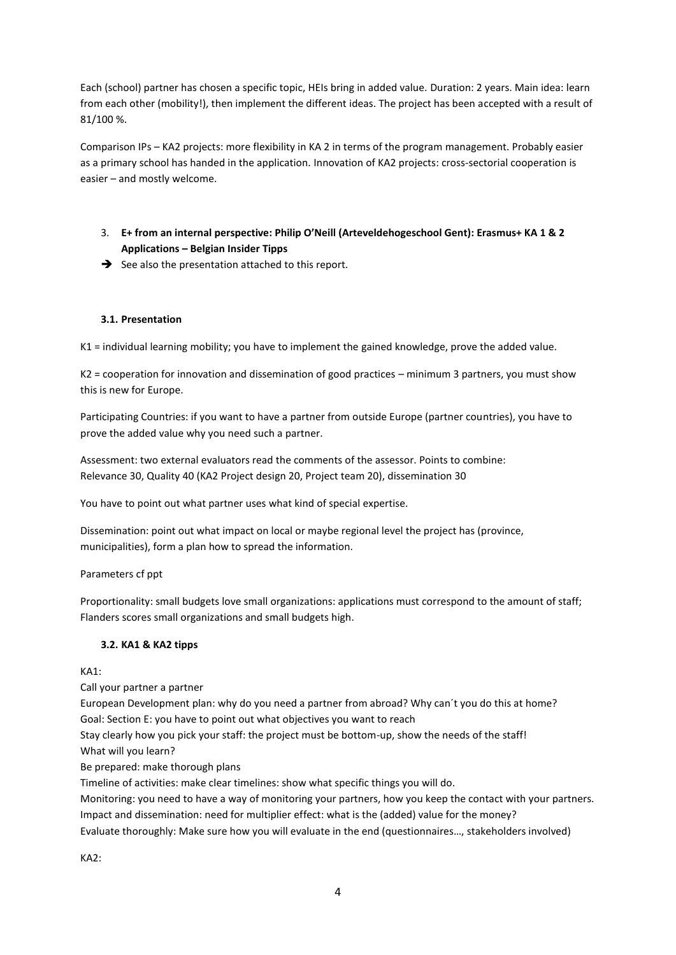Each (school) partner has chosen a specific topic, HEIs bring in added value. Duration: 2 years. Main idea: learn from each other (mobility!), then implement the different ideas. The project has been accepted with a result of 81/100 %.

Comparison IPs – KA2 projects: more flexibility in KA 2 in terms of the program management. Probably easier as a primary school has handed in the application. Innovation of KA2 projects: cross-sectorial cooperation is easier – and mostly welcome.

- 3. **E+ from an internal perspective: Philip O'Neill (Arteveldehogeschool Gent): Erasmus+ KA 1 & 2 Applications – Belgian Insider Tipps**
- $\rightarrow$  See also the presentation attached to this report.

## **3.1. Presentation**

K1 = individual learning mobility; you have to implement the gained knowledge, prove the added value.

K2 = cooperation for innovation and dissemination of good practices – minimum 3 partners, you must show this is new for Europe.

Participating Countries: if you want to have a partner from outside Europe (partner countries), you have to prove the added value why you need such a partner.

Assessment: two external evaluators read the comments of the assessor. Points to combine: Relevance 30, Quality 40 (KA2 Project design 20, Project team 20), dissemination 30

You have to point out what partner uses what kind of special expertise.

Dissemination: point out what impact on local or maybe regional level the project has (province, municipalities), form a plan how to spread the information.

Parameters cf ppt

Proportionality: small budgets love small organizations: applications must correspond to the amount of staff; Flanders scores small organizations and small budgets high.

### **3.2. KA1 & KA2 tipps**

KA1:

Call your partner a partner

European Development plan: why do you need a partner from abroad? Why can´t you do this at home? Goal: Section E: you have to point out what objectives you want to reach

Stay clearly how you pick your staff: the project must be bottom-up, show the needs of the staff! What will you learn?

Be prepared: make thorough plans

Timeline of activities: make clear timelines: show what specific things you will do.

Monitoring: you need to have a way of monitoring your partners, how you keep the contact with your partners. Impact and dissemination: need for multiplier effect: what is the (added) value for the money? Evaluate thoroughly: Make sure how you will evaluate in the end (questionnaires…, stakeholders involved)

KA2: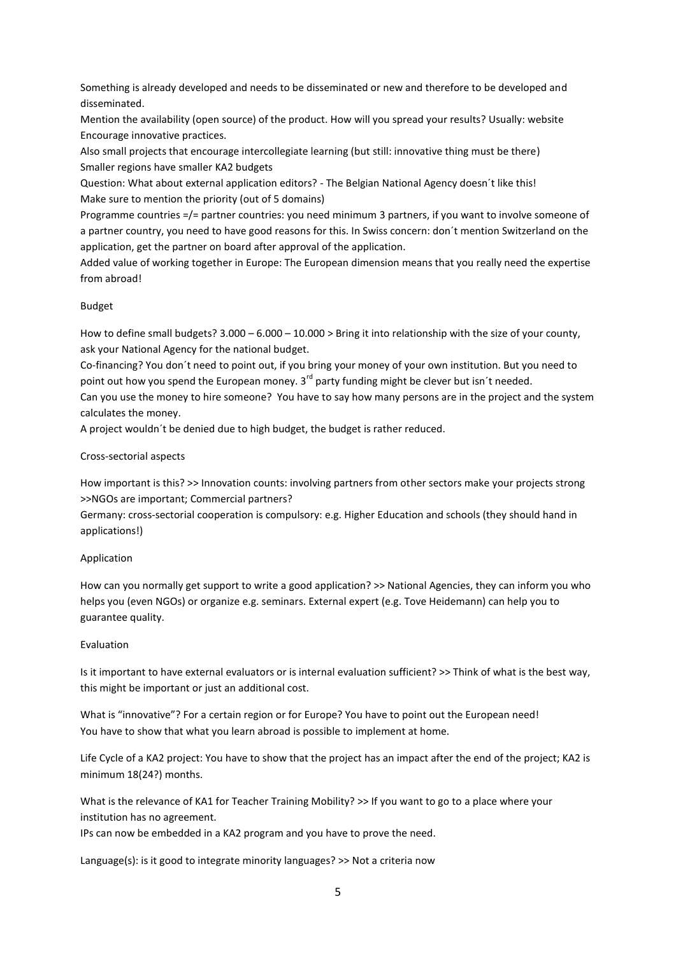Something is already developed and needs to be disseminated or new and therefore to be developed and disseminated.

Mention the availability (open source) of the product. How will you spread your results? Usually: website Encourage innovative practices.

Also small projects that encourage intercollegiate learning (but still: innovative thing must be there) Smaller regions have smaller KA2 budgets

Question: What about external application editors? - The Belgian National Agency doesn´t like this! Make sure to mention the priority (out of 5 domains)

Programme countries =/= partner countries: you need minimum 3 partners, if you want to involve someone of a partner country, you need to have good reasons for this. In Swiss concern: don´t mention Switzerland on the application, get the partner on board after approval of the application.

Added value of working together in Europe: The European dimension means that you really need the expertise from abroad!

#### Budget

How to define small budgets? 3.000 – 6.000 – 10.000 > Bring it into relationship with the size of your county, ask your National Agency for the national budget.

Co-financing? You don´t need to point out, if you bring your money of your own institution. But you need to point out how you spend the European money.  $3^{rd}$  party funding might be clever but isn't needed.

Can you use the money to hire someone? You have to say how many persons are in the project and the system calculates the money.

A project wouldn´t be denied due to high budget, the budget is rather reduced.

#### Cross-sectorial aspects

How important is this? >> Innovation counts: involving partners from other sectors make your projects strong >>NGOs are important; Commercial partners?

Germany: cross-sectorial cooperation is compulsory: e.g. Higher Education and schools (they should hand in applications!)

#### Application

How can you normally get support to write a good application? >> National Agencies, they can inform you who helps you (even NGOs) or organize e.g. seminars. External expert (e.g. Tove Heidemann) can help you to guarantee quality.

### Evaluation

Is it important to have external evaluators or is internal evaluation sufficient? >> Think of what is the best way, this might be important or just an additional cost.

What is "innovative"? For a certain region or for Europe? You have to point out the European need! You have to show that what you learn abroad is possible to implement at home.

Life Cycle of a KA2 project: You have to show that the project has an impact after the end of the project; KA2 is minimum 18(24?) months.

What is the relevance of KA1 for Teacher Training Mobility? >> If you want to go to a place where your institution has no agreement.

IPs can now be embedded in a KA2 program and you have to prove the need.

Language(s): is it good to integrate minority languages? >> Not a criteria now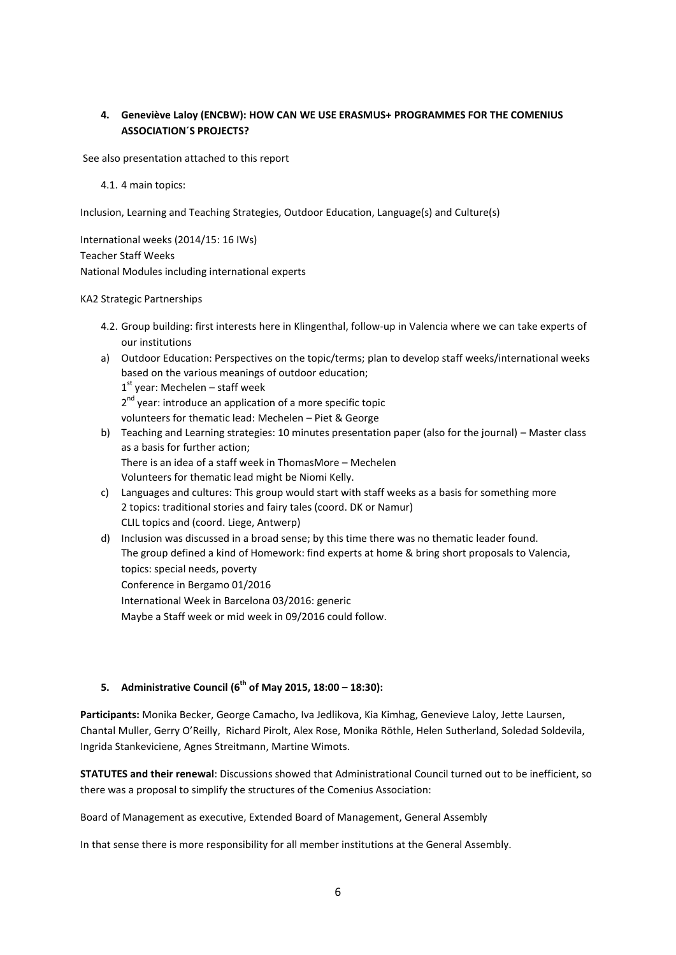## **4. Geneviève Laloy (ENCBW): HOW CAN WE USE ERASMUS+ PROGRAMMES FOR THE COMENIUS ASSOCIATION´S PROJECTS?**

See also presentation attached to this report

4.1. 4 main topics:

Inclusion, Learning and Teaching Strategies, Outdoor Education, Language(s) and Culture(s)

International weeks (2014/15: 16 IWs) Teacher Staff Weeks National Modules including international experts

## KA2 Strategic Partnerships

- 4.2. Group building: first interests here in Klingenthal, follow-up in Valencia where we can take experts of our institutions
- a) Outdoor Education: Perspectives on the topic/terms; plan to develop staff weeks/international weeks based on the various meanings of outdoor education; 1<sup>st</sup> year: Mechelen – staff week 2<sup>nd</sup> year: introduce an application of a more specific topic volunteers for thematic lead: Mechelen – Piet & George
- b) Teaching and Learning strategies: 10 minutes presentation paper (also for the journal) Master class as a basis for further action; There is an idea of a staff week in ThomasMore – Mechelen Volunteers for thematic lead might be Niomi Kelly. c) Languages and cultures: This group would start with staff weeks as a basis for something more
- 2 topics: traditional stories and fairy tales (coord. DK or Namur) CLIL topics and (coord. Liege, Antwerp)
- d) Inclusion was discussed in a broad sense; by this time there was no thematic leader found. The group defined a kind of Homework: find experts at home & bring short proposals to Valencia, topics: special needs, poverty Conference in Bergamo 01/2016 International Week in Barcelona 03/2016: generic Maybe a Staff week or mid week in 09/2016 could follow.

## **5. Administrative Council (6th of May 2015, 18:00 – 18:30):**

**Participants:** Monika Becker, George Camacho, Iva Jedlikova, Kia Kimhag, Genevieve Laloy, Jette Laursen, Chantal Muller, Gerry O'Reilly, Richard Pirolt, Alex Rose, Monika Röthle, Helen Sutherland, Soledad Soldevila, Ingrida Stankeviciene, Agnes Streitmann, Martine Wimots.

**STATUTES and their renewal**: Discussions showed that Administrational Council turned out to be inefficient, so there was a proposal to simplify the structures of the Comenius Association:

Board of Management as executive, Extended Board of Management, General Assembly

In that sense there is more responsibility for all member institutions at the General Assembly.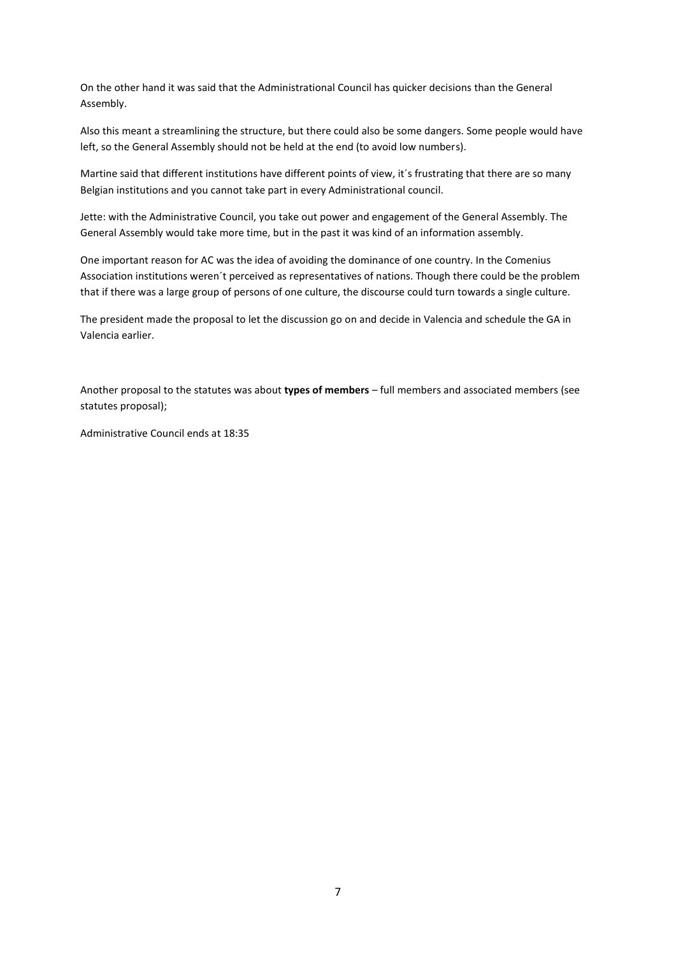On the other hand it was said that the Administrational Council has quicker decisions than the General Assembly.

Also this meant a streamlining the structure, but there could also be some dangers. Some people would have left, so the General Assembly should not be held at the end (to avoid low numbers).

Martine said that different institutions have different points of view, it´s frustrating that there are so many Belgian institutions and you cannot take part in every Administrational council.

Jette: with the Administrative Council, you take out power and engagement of the General Assembly. The General Assembly would take more time, but in the past it was kind of an information assembly.

One important reason for AC was the idea of avoiding the dominance of one country. In the Comenius Association institutions weren´t perceived as representatives of nations. Though there could be the problem that if there was a large group of persons of one culture, the discourse could turn towards a single culture.

The president made the proposal to let the discussion go on and decide in Valencia and schedule the GA in Valencia earlier.

Another proposal to the statutes was about **types of members** – full members and associated members (see statutes proposal);

Administrative Council ends at 18:35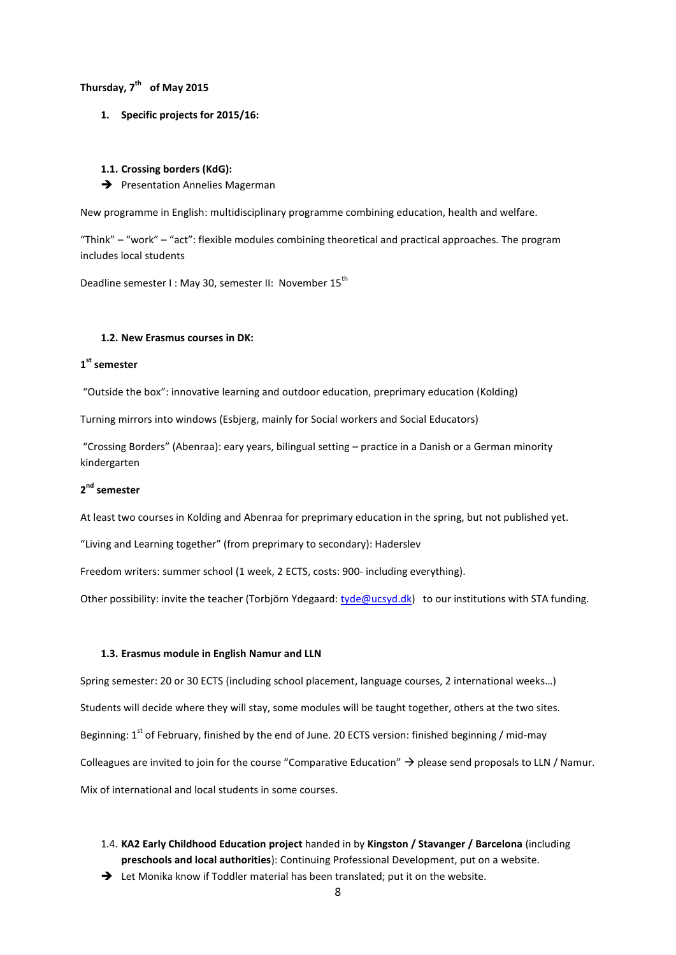## **Thursday, 7th of May 2015**

**1. Specific projects for 2015/16:**

#### **1.1. Crossing borders (KdG):**

 $\rightarrow$  Presentation Annelies Magerman

New programme in English: multidisciplinary programme combining education, health and welfare.

"Think" – "work" – "act": flexible modules combining theoretical and practical approaches. The program includes local students

Deadline semester I : May 30, semester II: November 15<sup>th</sup>

#### **1.2. New Erasmus courses in DK:**

## **1 st semester**

"Outside the box": innovative learning and outdoor education, preprimary education (Kolding)

Turning mirrors into windows (Esbjerg, mainly for Social workers and Social Educators)

"Crossing Borders" (Abenraa): eary years, bilingual setting – practice in a Danish or a German minority kindergarten

## **2 nd semester**

At least two courses in Kolding and Abenraa for preprimary education in the spring, but not published yet.

"Living and Learning together" (from preprimary to secondary): Haderslev

Freedom writers: summer school (1 week, 2 ECTS, costs: 900- including everything).

Other possibility: invite the teacher (Torbjörn Ydegaard: [tyde@ucsyd.dk\)](mailto:tyde@ucsyd.dk) to our institutions with STA funding.

#### **1.3. Erasmus module in English Namur and LLN**

Spring semester: 20 or 30 ECTS (including school placement, language courses, 2 international weeks…) Students will decide where they will stay, some modules will be taught together, others at the two sites. Beginning:  $1<sup>st</sup>$  of February, finished by the end of June. 20 ECTS version: finished beginning / mid-may Colleagues are invited to join for the course "Comparative Education"  $\rightarrow$  please send proposals to LLN / Namur. Mix of international and local students in some courses.

- 1.4. **KA2 Early Childhood Education project** handed in by **Kingston / Stavanger / Barcelona** (including **preschools and local authorities**): Continuing Professional Development, put on a website.
- → Let Monika know if Toddler material has been translated; put it on the website.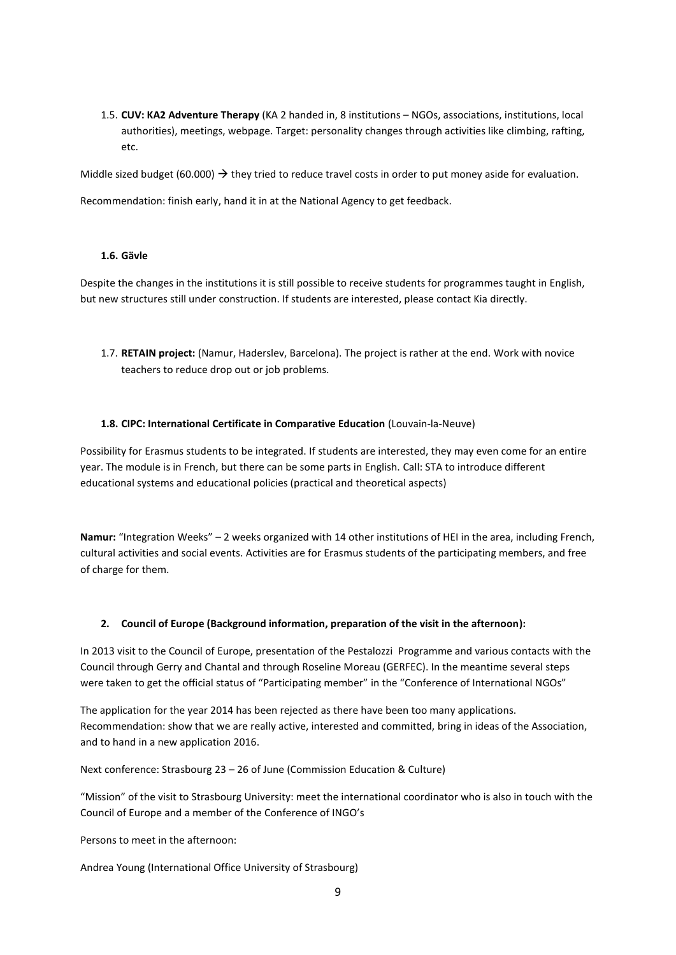1.5. **CUV: KA2 Adventure Therapy** (KA 2 handed in, 8 institutions – NGOs, associations, institutions, local authorities), meetings, webpage. Target: personality changes through activities like climbing, rafting, etc.

Middle sized budget (60.000)  $\rightarrow$  they tried to reduce travel costs in order to put money aside for evaluation.

Recommendation: finish early, hand it in at the National Agency to get feedback.

### **1.6. Gävle**

Despite the changes in the institutions it is still possible to receive students for programmes taught in English, but new structures still under construction. If students are interested, please contact Kia directly.

1.7. **RETAIN project:** (Namur, Haderslev, Barcelona). The project is rather at the end. Work with novice teachers to reduce drop out or job problems.

#### **1.8. CIPC: International Certificate in Comparative Education** (Louvain-la-Neuve)

Possibility for Erasmus students to be integrated. If students are interested, they may even come for an entire year. The module is in French, but there can be some parts in English. Call: STA to introduce different educational systems and educational policies (practical and theoretical aspects)

**Namur:** "Integration Weeks" – 2 weeks organized with 14 other institutions of HEI in the area, including French, cultural activities and social events. Activities are for Erasmus students of the participating members, and free of charge for them.

### **2. Council of Europe (Background information, preparation of the visit in the afternoon):**

In 2013 visit to the Council of Europe, presentation of the Pestalozzi Programme and various contacts with the Council through Gerry and Chantal and through Roseline Moreau (GERFEC). In the meantime several steps were taken to get the official status of "Participating member" in the "Conference of International NGOs"

The application for the year 2014 has been rejected as there have been too many applications. Recommendation: show that we are really active, interested and committed, bring in ideas of the Association, and to hand in a new application 2016.

Next conference: Strasbourg 23 – 26 of June (Commission Education & Culture)

"Mission" of the visit to Strasbourg University: meet the international coordinator who is also in touch with the Council of Europe and a member of the Conference of INGO's

Persons to meet in the afternoon:

Andrea Young (International Office University of Strasbourg)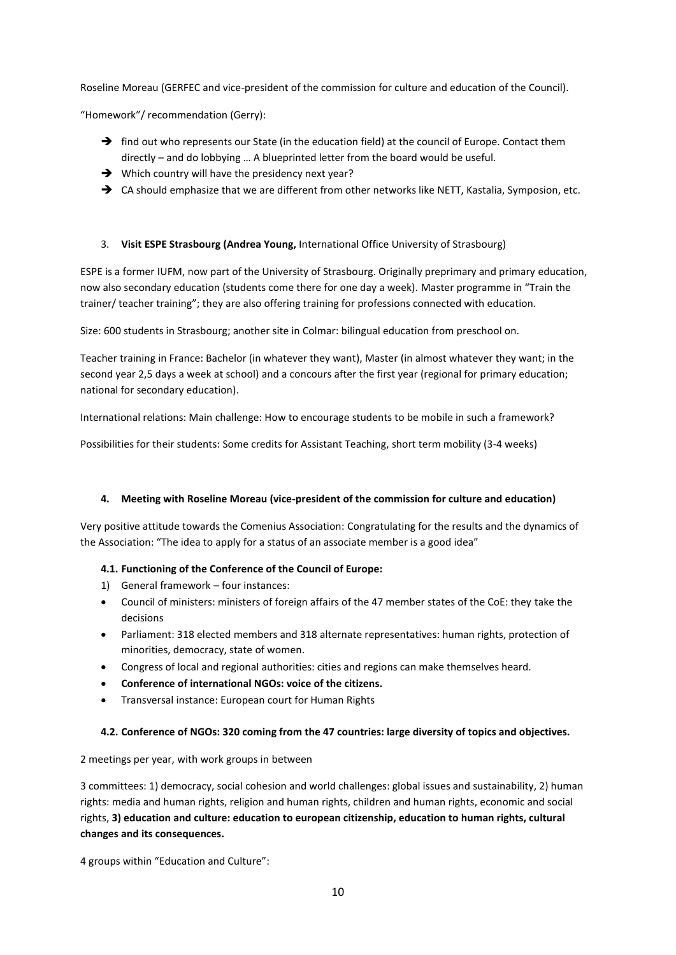Roseline Moreau (GERFEC and vice-president of the commission for culture and education of the Council).

"Homework"/ recommendation (Gerry):

- $\rightarrow$  find out who represents our State (in the education field) at the council of Europe. Contact them directly – and do lobbying … A blueprinted letter from the board would be useful.
- → Which country will have the presidency next year?
- → CA should emphasize that we are different from other networks like NETT, Kastalia, Symposion, etc.

## 3. **Visit ESPE Strasbourg (Andrea Young,** International Office University of Strasbourg)

ESPE is a former IUFM, now part of the University of Strasbourg. Originally preprimary and primary education, now also secondary education (students come there for one day a week). Master programme in "Train the trainer/ teacher training"; they are also offering training for professions connected with education.

Size: 600 students in Strasbourg; another site in Colmar: bilingual education from preschool on.

Teacher training in France: Bachelor (in whatever they want), Master (in almost whatever they want; in the second year 2,5 days a week at school) and a concours after the first year (regional for primary education; national for secondary education).

International relations: Main challenge: How to encourage students to be mobile in such a framework?

Possibilities for their students: Some credits for Assistant Teaching, short term mobility (3-4 weeks)

### **4. Meeting with Roseline Moreau (vice-president of the commission for culture and education)**

Very positive attitude towards the Comenius Association: Congratulating for the results and the dynamics of the Association: "The idea to apply for a status of an associate member is a good idea"

### **4.1. Functioning of the Conference of the Council of Europe:**

- 1) General framework four instances:
- Council of ministers: ministers of foreign affairs of the 47 member states of the CoE: they take the decisions
- Parliament: 318 elected members and 318 alternate representatives: human rights, protection of minorities, democracy, state of women.
- Congress of local and regional authorities: cities and regions can make themselves heard.
- **Conference of international NGOs: voice of the citizens.**
- Transversal instance: European court for Human Rights

### **4.2. Conference of NGOs: 320 coming from the 47 countries: large diversity of topics and objectives.**

2 meetings per year, with work groups in between

3 committees: 1) democracy, social cohesion and world challenges: global issues and sustainability, 2) human rights: media and human rights, religion and human rights, children and human rights, economic and social rights, **3) education and culture: education to european citizenship, education to human rights, cultural changes and its consequences.**

4 groups within "Education and Culture":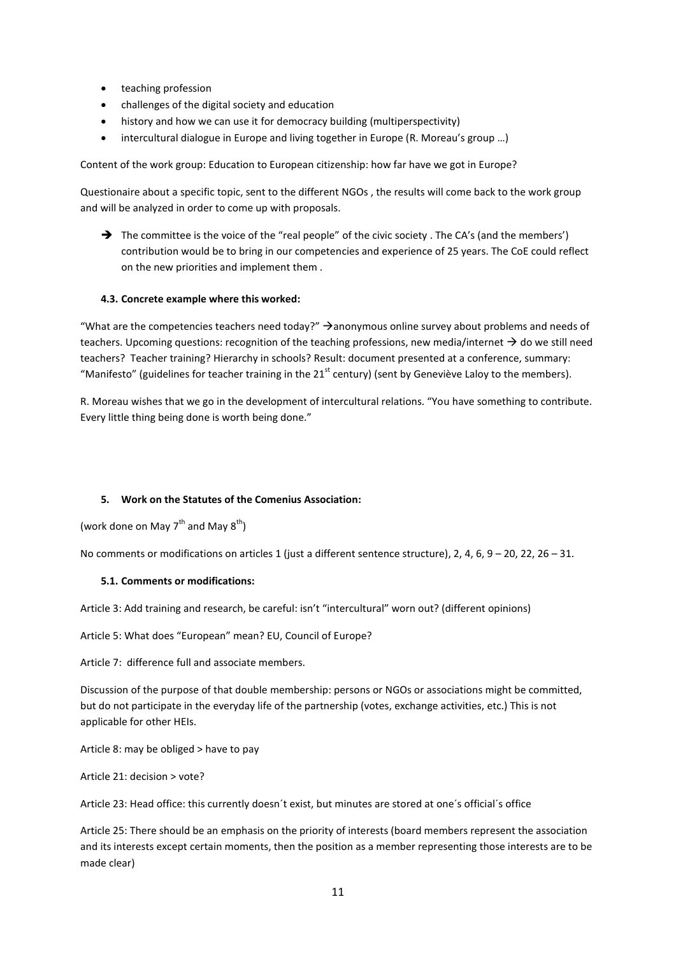- teaching profession
- challenges of the digital society and education
- history and how we can use it for democracy building (multiperspectivity)
- intercultural dialogue in Europe and living together in Europe (R. Moreau's group …)

Content of the work group: Education to European citizenship: how far have we got in Europe?

Questionaire about a specific topic, sent to the different NGOs , the results will come back to the work group and will be analyzed in order to come up with proposals.

 $\rightarrow$  The committee is the voice of the "real people" of the civic society. The CA's (and the members') contribution would be to bring in our competencies and experience of 25 years. The CoE could reflect on the new priorities and implement them .

#### **4.3. Concrete example where this worked:**

"What are the competencies teachers need today?"  $\rightarrow$  anonymous online survey about problems and needs of teachers. Upcoming questions: recognition of the teaching professions, new media/internet  $\rightarrow$  do we still need teachers? Teacher training? Hierarchy in schools? Result: document presented at a conference, summary: "Manifesto" (guidelines for teacher training in the  $21<sup>st</sup>$  century) (sent by Geneviève Laloy to the members).

R. Moreau wishes that we go in the development of intercultural relations. "You have something to contribute. Every little thing being done is worth being done."

#### **5. Work on the Statutes of the Comenius Association:**

(work done on May  $7^{th}$  and May  $8^{th}$ )

No comments or modifications on articles 1 (just a different sentence structure), 2, 4, 6, 9 – 20, 22, 26 – 31.

#### **5.1. Comments or modifications:**

Article 3: Add training and research, be careful: isn't "intercultural" worn out? (different opinions)

Article 5: What does "European" mean? EU, Council of Europe?

Article 7: difference full and associate members.

Discussion of the purpose of that double membership: persons or NGOs or associations might be committed, but do not participate in the everyday life of the partnership (votes, exchange activities, etc.) This is not applicable for other HEIs.

Article 8: may be obliged > have to pay

Article 21: decision > vote?

Article 23: Head office: this currently doesn´t exist, but minutes are stored at one´s official´s office

Article 25: There should be an emphasis on the priority of interests (board members represent the association and its interests except certain moments, then the position as a member representing those interests are to be made clear)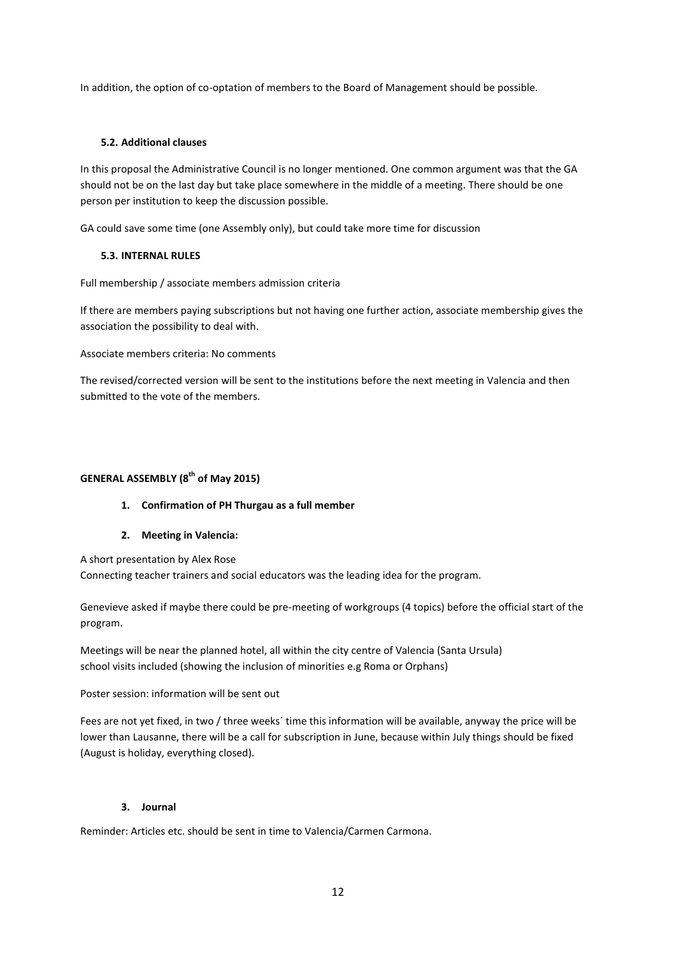In addition, the option of co-optation of members to the Board of Management should be possible.

## **5.2. Additional clauses**

In this proposal the Administrative Council is no longer mentioned. One common argument was that the GA should not be on the last day but take place somewhere in the middle of a meeting. There should be one person per institution to keep the discussion possible.

GA could save some time (one Assembly only), but could take more time for discussion

## **5.3. INTERNAL RULES**

Full membership / associate members admission criteria

If there are members paying subscriptions but not having one further action, associate membership gives the association the possibility to deal with.

Associate members criteria: No comments

The revised/corrected version will be sent to the institutions before the next meeting in Valencia and then submitted to the vote of the members.

## **GENERAL ASSEMBLY (8th of May 2015)**

- **1. Confirmation of PH Thurgau as a full member**
- **2. Meeting in Valencia:**

A short presentation by Alex Rose

Connecting teacher trainers and social educators was the leading idea for the program.

Genevieve asked if maybe there could be pre-meeting of workgroups (4 topics) before the official start of the program.

Meetings will be near the planned hotel, all within the city centre of Valencia (Santa Ursula) school visits included (showing the inclusion of minorities e.g Roma or Orphans)

Poster session: information will be sent out

Fees are not yet fixed, in two / three weeks´ time this information will be available, anyway the price will be lower than Lausanne, there will be a call for subscription in June, because within July things should be fixed (August is holiday, everything closed).

## **3. Journal**

Reminder: Articles etc. should be sent in time to Valencia/Carmen Carmona.